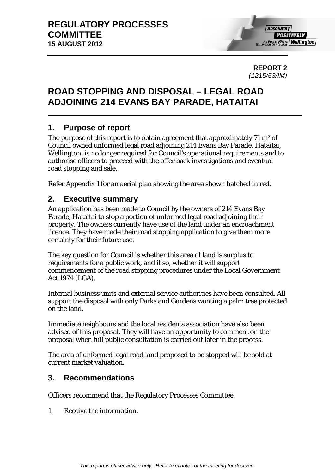0B**REPORT 2**  *(1215/53/IM)* 

# 1B**ROAD STOPPING AND DISPOSAL – LEGAL ROAD ADJOINING 214 EVANS BAY PARADE, HATAITAI**

# 1. Purpose of report

The purpose of this report is to obtain agreement that approximately 71 m<sup>2</sup> of Council owned unformed legal road adjoining 214 Evans Bay Parade, Hataitai, Wellington, is no longer required for Council's operational requirements and to authorise officers to proceed with the offer back investigations and eventual road stopping and sale.

Refer Appendix 1 for an aerial plan showing the area shown hatched in red.

## 3B**2. Executive summary**

An application has been made to Council by the owners of 214 Evans Bay Parade, Hataitai to stop a portion of unformed legal road adjoining their property. The owners currently have use of the land under an encroachment licence. They have made their road stopping application to give them more certainty for their future use.

The key question for Council is whether this area of land is surplus to requirements for a public work, and if so, whether it will support commencement of the road stopping procedures under the Local Government Act 1974 (LGA).

Internal business units and external service authorities have been consulted. All support the disposal with only Parks and Gardens wanting a palm tree protected on the land.

Immediate neighbours and the local residents association have also been advised of this proposal. They will have an opportunity to comment on the proposal when full public consultation is carried out later in the process.

The area of unformed legal road land proposed to be stopped will be sold at current market valuation.

# 4B**3. Recommendations**

Officers recommend that the Regulatory Processes Committee:

*1. Receive the information.*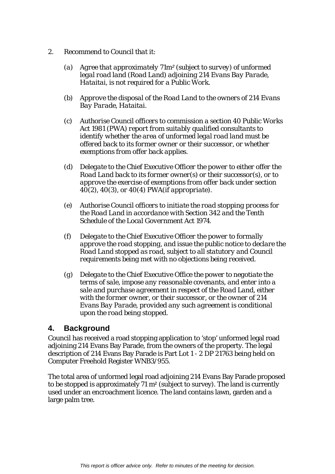- *2. Recommend to Council that it:* 
	- *(a) Agree that approximately 71m² (subject to survey) of unformed legal road land (Road Land) adjoining 214 Evans Bay Parade, Hataitai, is not required for a Public Work.*
	- *(b) Approve the disposal of the Road Land to the owners of 214 Evans Bay Parade, Hataitai.*
	- *(c) Authorise Council officers to commission a section 40 Public Works Act 1981 (PWA) report from suitably qualified consultants to identify whether the area of unformed legal road land must be offered back to its former owner or their successor, or whether exemptions from offer back applies.*
	- *(d) Delegate to the Chief Executive Officer the power to either offer the Road Land back to its former owner(s) or their successor(s), or to approve the exercise of exemptions from offer back under section 40(2), 40(3), or 40(4) PWA(if appropriate).*
	- *(e) Authorise Council officers to initiate the road stopping process for the Road Land in accordance with Section 342 and the Tenth Schedule of the Local Government Act 1974.*
	- *(f) Delegate to the Chief Executive Officer the power to formally approve the road stopping, and issue the public notice to declare the Road Land stopped as road, subject to all statutory and Council requirements being met with no objections being received.*
	- *(g) Delegate to the Chief Executive Office the power to negotiate the terms of sale, impose any reasonable covenants, and enter into a sale and purchase agreement in respect of the Road Land, either with the former owner, or their successor, or the owner of 214 Evans Bay Parade, provided any such agreement is conditional upon the road being stopped.*

## 5B**4. Background**

Council has received a road stopping application to 'stop' unformed legal road adjoining 214 Evans Bay Parade, from the owners of the property. The legal description of 214 Evans Bay Parade is Part Lot 1 - 2 DP 21763 being held on Computer Freehold Register WNB3/955.

The total area of unformed legal road adjoining 214 Evans Bay Parade proposed to be stopped is approximately 71 m² (subject to survey). The land is currently used under an encroachment licence. The land contains lawn, garden and a large palm tree.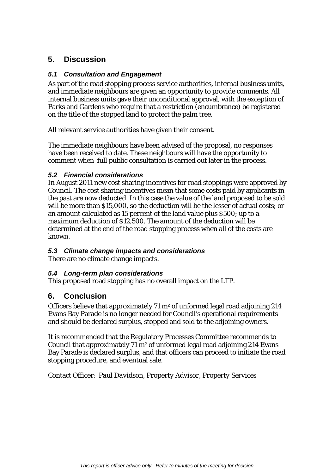# 6B**5. Discussion**

#### 9B*5.1 Consultation and Engagement*

As part of the road stopping process service authorities, internal business units, and immediate neighbours are given an opportunity to provide comments. All internal business units gave their unconditional approval, with the exception of Parks and Gardens who require that a restriction (encumbrance) be registered on the title of the stopped land to protect the palm tree.

All relevant service authorities have given their consent.

The immediate neighbours have been advised of the proposal, no responses have been received to date. These neighbours will have the opportunity to comment when full public consultation is carried out later in the process.

#### 12B*5.2 Financial considerations*

In August 2011 new cost sharing incentives for road stoppings were approved by Council. The cost sharing incentives mean that some costs paid by applicants in the past are now deducted. In this case the value of the land proposed to be sold will be more than \$15,000, so the deduction will be the lesser of actual costs; or an amount calculated as 15 percent of the land value plus \$500; up to a maximum deduction of \$12,500. The amount of the deduction will be determined at the end of the road stopping process when all of the costs are known.

#### 13B*5.3 Climate change impacts and considerations*

There are no climate change impacts.

#### 14B*5.4 Long-term plan considerations*

This proposed road stopping has no overall impact on the LTP.

## 7B**6. Conclusion**

Officers believe that approximately 71 m² of unformed legal road adjoining 214 Evans Bay Parade is no longer needed for Council's operational requirements and should be declared surplus, stopped and sold to the adjoining owners.

It is recommended that the Regulatory Processes Committee recommends to Council that approximately 71 m² of unformed legal road adjoining 214 Evans Bay Parade is declared surplus, and that officers can proceed to initiate the road stopping procedure, and eventual sale.

Contact Officer: *Paul Davidson, Property Advisor, Property Services*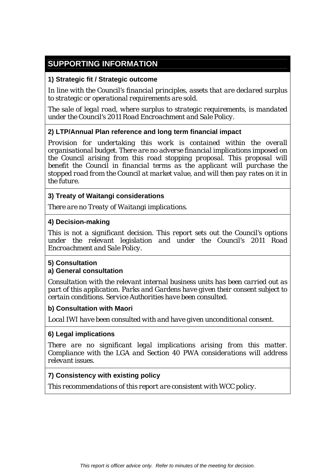# **SUPPORTING INFORMATION**

#### **1) Strategic fit / Strategic outcome**

*In line with the Council's financial principles, assets that are declared surplus to strategic or operational requirements are sold.* 

*The sale of legal road, where surplus to strategic requirements, is mandated under the Council's 2011 Road Encroachment and Sale Policy.* 

#### **2) LTP/Annual Plan reference and long term financial impact**

*Provision for undertaking this work is contained within the overall organisational budget. There are no adverse financial implications imposed on the Council arising from this road stopping proposal. This proposal will benefit the Council in financial terms as the applicant will purchase the stopped road from the Council at market value, and will then pay rates on it in the future.* 

#### **3) Treaty of Waitangi considerations**

*There are no Treaty of Waitangi implications.* 

#### **4) Decision-making**

*This is not a significant decision. This report sets out the Council's options under the relevant legislation and under the Council's 2011 Road Encroachment and Sale Policy.*

#### **5) Consultation**

#### **a) General consultation**

*Consultation with the relevant internal business units has been carried out as part of this application. Parks and Gardens have given their consent subject to certain conditions. Service Authorities have been consulted.* 

#### **b) Consultation with Maori**

*Local IWI have been consulted with and have given unconditional consent.*

#### **6) Legal implications**

*There are no significant legal implications arising from this matter. Compliance with the LGA and Section 40 PWA considerations will address relevant issues.* 

#### **7) Consistency with existing policy**

*This recommendations of this report are consistent with WCC policy.*